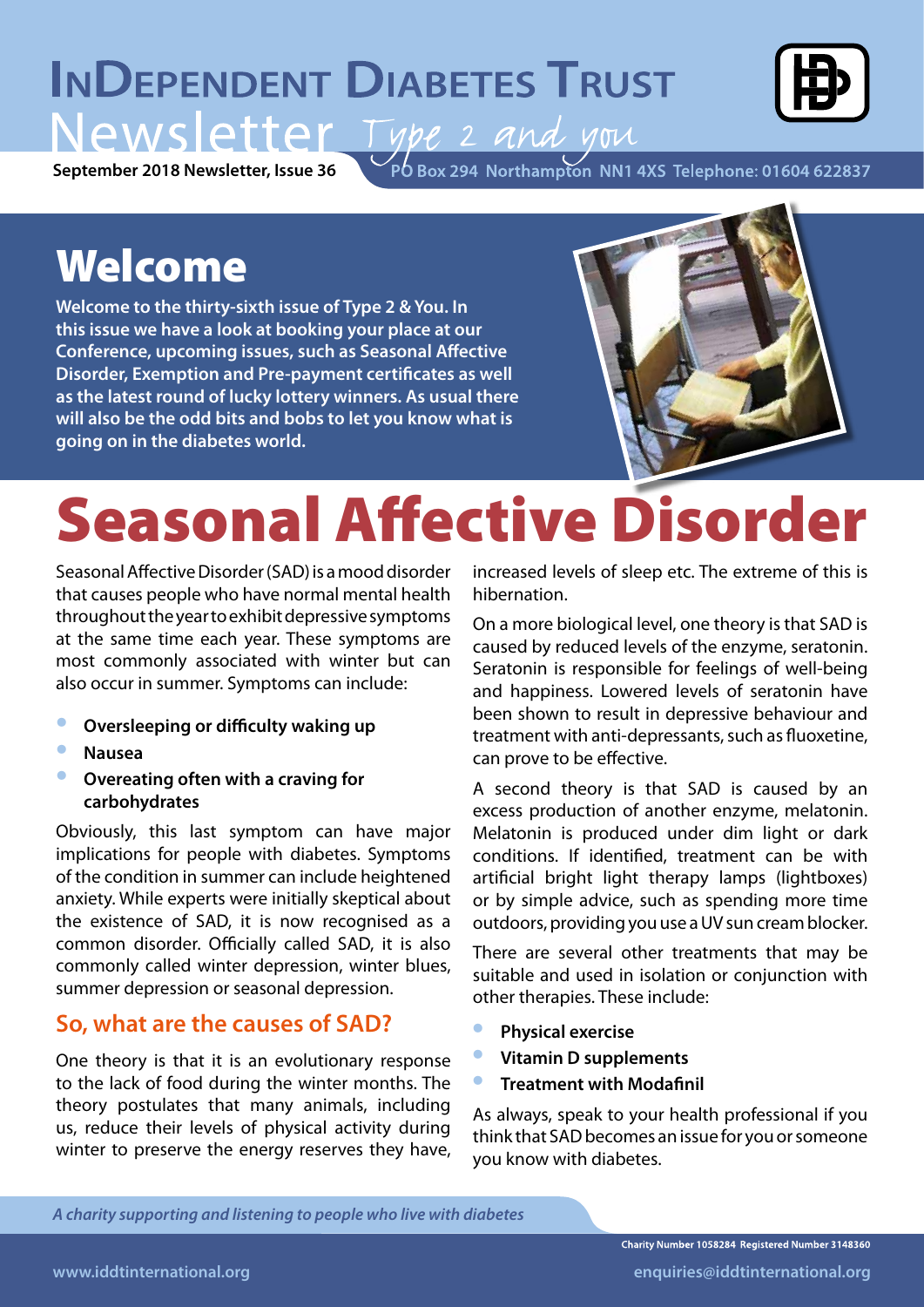## **INDEPENDENT DIABETES TRUST** Newsletter Type 2 and you



**September 2018 Newsletter, Issue 36**

PO Box 294 Northampton NN1 4XS Telephone: 01604 622837

### Welcome

**Welcome to the thirty-sixth issue of Type 2 & You. In this issue we have a look at booking your place at our Conference, upcoming issues, such as Seasonal Affective Disorder, Exemption and Pre-payment certificates as well as the latest round of lucky lottery winners. As usual there will also be the odd bits and bobs to let you know what is going on in the diabetes world.**



# Seasonal Affective Disorder

Seasonal Affective Disorder (SAD) is a mood disorder that causes people who have normal mental health throughout the year to exhibit depressive symptoms at the same time each year. These symptoms are most commonly associated with winter but can also occur in summer. Symptoms can include:

- **• Oversleeping or difficulty waking up**
- **• Nausea**
- **• Overeating often with a craving for carbohydrates**

Obviously, this last symptom can have major implications for people with diabetes. Symptoms of the condition in summer can include heightened anxiety. While experts were initially skeptical about the existence of SAD, it is now recognised as a common disorder. Officially called SAD, it is also commonly called winter depression, winter blues, summer depression or seasonal depression.

#### **So, what are the causes of SAD?**

One theory is that it is an evolutionary response to the lack of food during the winter months. The theory postulates that many animals, including us, reduce their levels of physical activity during winter to preserve the energy reserves they have, increased levels of sleep etc. The extreme of this is hibernation.

On a more biological level, one theory is that SAD is caused by reduced levels of the enzyme, seratonin. Seratonin is responsible for feelings of well-being and happiness. Lowered levels of seratonin have been shown to result in depressive behaviour and treatment with anti-depressants, such as fluoxetine, can prove to be effective.

A second theory is that SAD is caused by an excess production of another enzyme, melatonin. Melatonin is produced under dim light or dark conditions. If identified, treatment can be with artificial bright light therapy lamps (lightboxes) or by simple advice, such as spending more time outdoors, providing you use a UV sun cream blocker.

There are several other treatments that may be suitable and used in isolation or conjunction with other therapies. These include:

- **• Physical exercise**
- **• Vitamin D supplements**
- **• Treatment with Modafinil**

As always, speak to your health professional if you think that SAD becomes an issue for you or someone you know with diabetes.

*A charity supporting and listening to people who live with diabetes*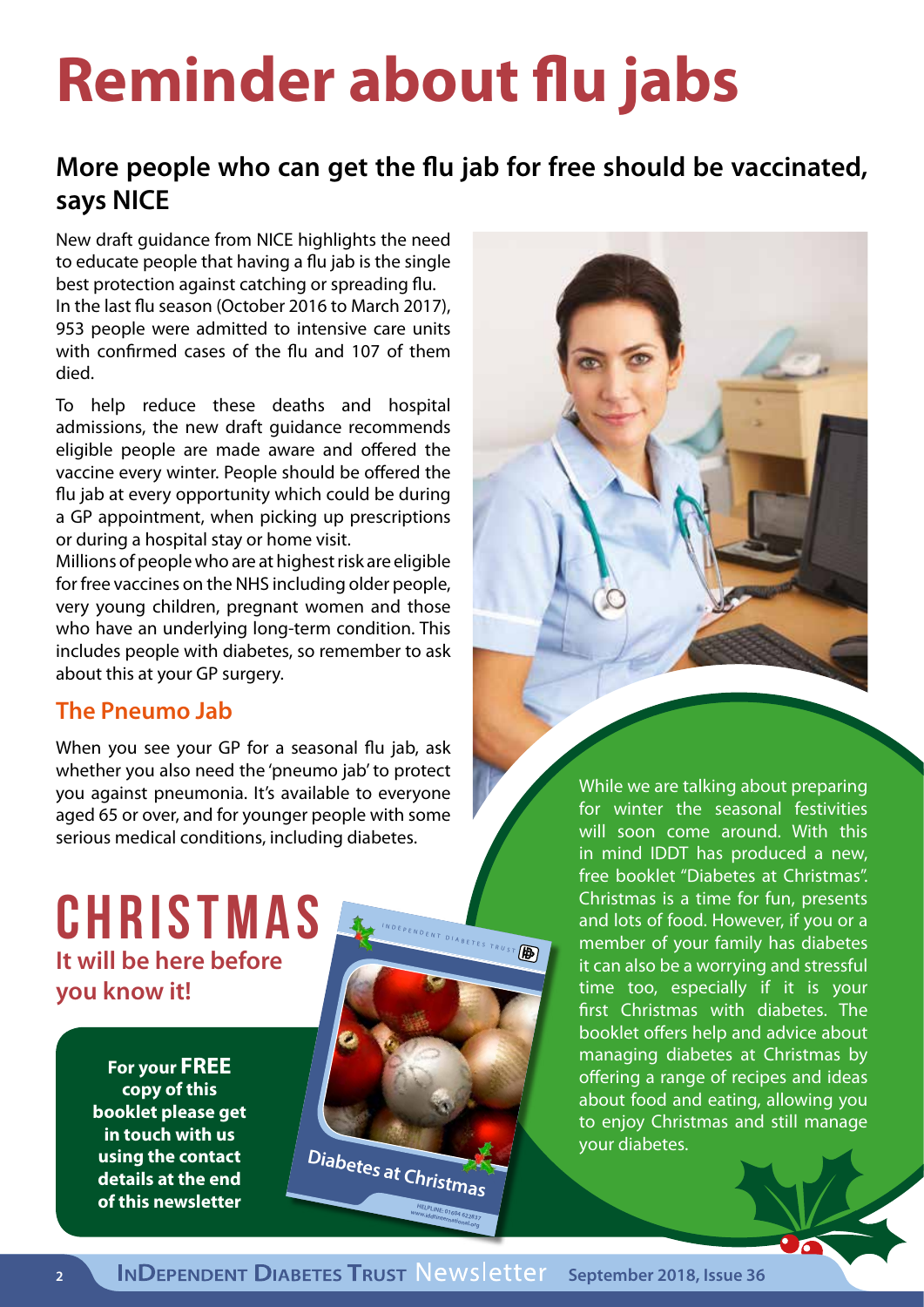# **Reminder about flu jabs**

#### **More people who can get the flu jab for free should be vaccinated, says NICE**

New draft guidance from NICE highlights the need to educate people that having a flu jab is the single best protection against catching or spreading flu. In the last flu season (October 2016 to March 2017), 953 people were admitted to intensive care units with confirmed cases of the flu and 107 of them died.

To help reduce these deaths and hospital admissions, the new draft guidance recommends eligible people are made aware and offered the vaccine every winter. People should be offered the flu jab at every opportunity which could be during a GP appointment, when picking up prescriptions or during a hospital stay or home visit.

Millions of people who are at highest risk are eligible for free vaccines on the NHS including older people, very young children, pregnant women and those who have an underlying long-term condition. This includes people with diabetes, so remember to ask about this at your GP surgery.

#### **The Pneumo Jab**

When you see your GP for a seasonal flu jab, ask whether you also need the 'pneumo jab' to protect you against pneumonia. It's available to everyone aged 65 or over, and for younger people with some serious medical conditions, including diabetes.

#### **Christmas It will be here before you know it!**

**For your FREE copy of this booklet please get in touch with us using the contact details at the end of this newsletter**

 **Independent Diabetes Trust PO Box 294 Northampton NN1 4XS For FREE LEAFLET EMISTMES WELPLINE: 01604 622837**<br>www.iddtinternational.com **Diabetes at Christmas**

for winter the seasonal festivities will soon come around. With this in mind IDDT has produced a new, free booklet "Diabetes at Christmas". Christmas is a time for fun, presents and lots of food. However, if you or a member of your family has diabetes it can also be a worrying and stressful time too, especially if it is your first Christmas with diabetes. The booklet offers help and advice about managing diabetes at Christmas by offering a range of recipes and ideas about food and eating, allowing you to enjoy Christmas and still manage your diabetes.

While we are talking about preparing

Www.iddtinternational.org

**HELPLINE: 01604 622837 www.iddtinternational.org**

PENDENT DIABETES TRUST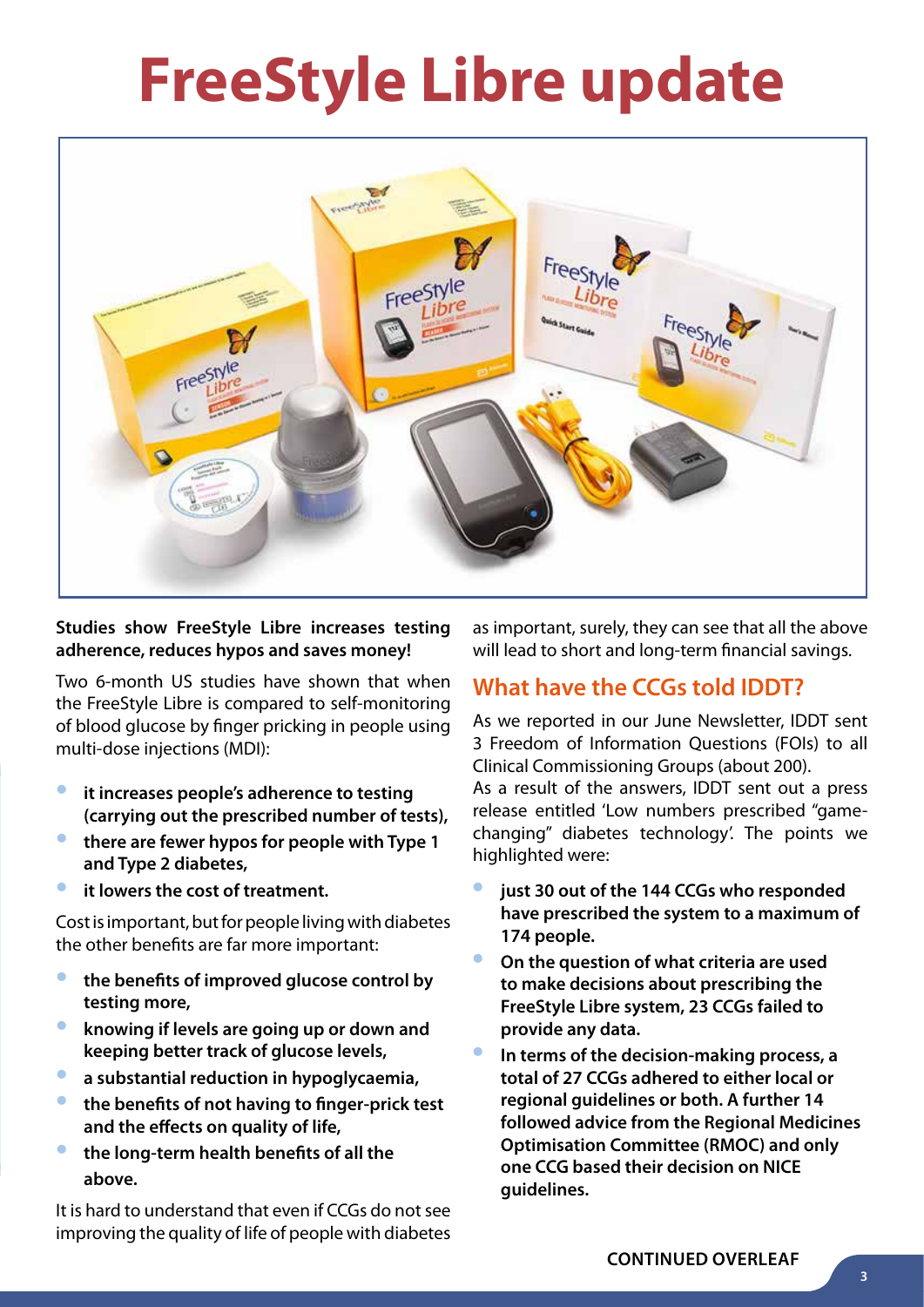# **FreeStyle Libre update**



#### **Studies show FreeStyle Libre increases testing adherence, reduces hypos and saves money!**

Two 6-month US studies have shown that when the FreeStyle Libre is compared to self-monitoring of blood glucose by finger pricking in people using multi-dose injections (MDI):

- **• it increases people's adherence to testing (carrying out the prescribed number of tests),**
- **• there are fewer hypos for people with Type 1 and Type 2 diabetes,**
- **• it lowers the cost of treatment.**

Cost is important, but for people living with diabetes the other benefits are far more important:

- **• the benefits of improved glucose control by testing more,**
- **• knowing if levels are going up or down and keeping better track of glucose levels,**
- **• a substantial reduction in hypoglycaemia,**
- **• the benefits of not having to finger-prick test and the effects on quality of life,**
- **• the long-term health benefits of all the above.**

It is hard to understand that even if CCGs do not see improving the quality of life of people with diabetes

as important, surely, they can see that all the above will lead to short and long-term financial savings.

#### **What have the CCGs told IDDT?**

As we reported in our June Newsletter, IDDT sent 3 Freedom of Information Questions (FOIs) to all Clinical Commissioning Groups (about 200).

As a result of the answers, IDDT sent out a press release entitled 'Low numbers prescribed "gamechanging" diabetes technology'. The points we highlighted were:

- **• just 30 out of the 144 CCGs who responded have prescribed the system to a maximum of 174 people.**
- **• On the question of what criteria are used to make decisions about prescribing the FreeStyle Libre system, 23 CCGs failed to provide any data.**
- **• In terms of the decision-making process, a total of 27 CCGs adhered to either local or regional guidelines or both. A further 14 followed advice from the Regional Medicines Optimisation Committee (RMOC) and only one CCG based their decision on NICE guidelines.**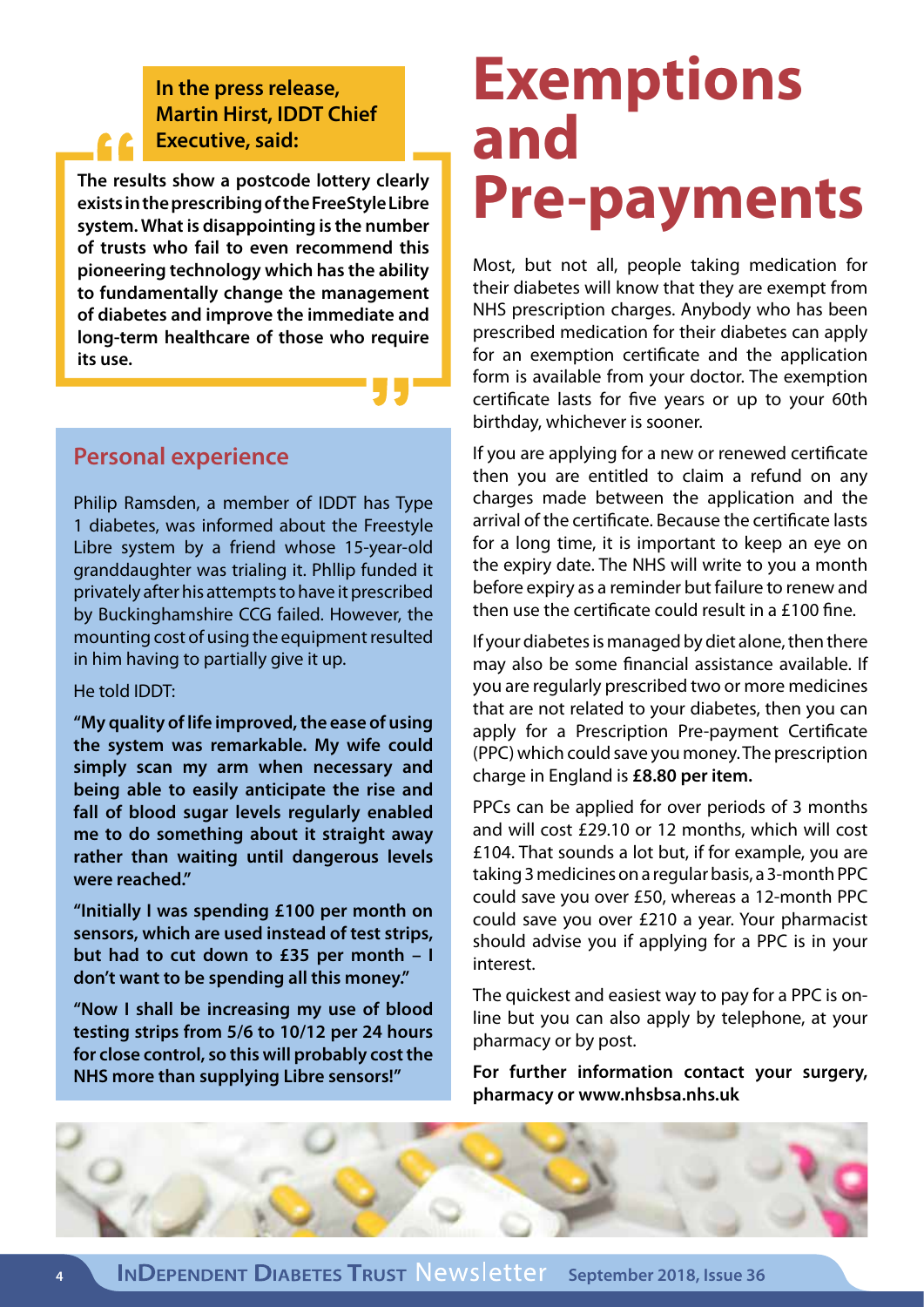#### **In the press release, Martin Hirst, IDDT Chief Executive, said:**

**The results show a postcode lottery clearly exists in the prescribing of the FreeStyle Libre system. What is disappointing is the number of trusts who fail to even recommend this pioneering technology which has the ability to fundamentally change the management of diabetes and improve the immediate and long-term healthcare of those who require its use.**

#### **Personal experience**

Philip Ramsden, a member of IDDT has Type 1 diabetes, was informed about the Freestyle Libre system by a friend whose 15-year-old granddaughter was trialing it. Phllip funded it privately after his attempts to have it prescribed by Buckinghamshire CCG failed. However, the mounting cost of using the equipment resulted in him having to partially give it up.

He told IDDT:

**"My quality of life improved, the ease of using the system was remarkable. My wife could simply scan my arm when necessary and being able to easily anticipate the rise and fall of blood sugar levels regularly enabled me to do something about it straight away rather than waiting until dangerous levels were reached."**

**"Initially I was spending £100 per month on sensors, which are used instead of test strips, but had to cut down to £35 per month – I don't want to be spending all this money."**

**"Now I shall be increasing my use of blood testing strips from 5/6 to 10/12 per 24 hours for close control, so this will probably cost the NHS more than supplying Libre sensors!"**

## **Exemptions and Pre-payments**

Most, but not all, people taking medication for their diabetes will know that they are exempt from NHS prescription charges. Anybody who has been prescribed medication for their diabetes can apply for an exemption certificate and the application form is available from your doctor. The exemption certificate lasts for five years or up to your 60th birthday, whichever is sooner.

If you are applying for a new or renewed certificate then you are entitled to claim a refund on any charges made between the application and the arrival of the certificate. Because the certificate lasts for a long time, it is important to keep an eye on the expiry date. The NHS will write to you a month before expiry as a reminder but failure to renew and then use the certificate could result in a £100 fine.

If your diabetes is managed by diet alone, then there may also be some financial assistance available. If you are regularly prescribed two or more medicines that are not related to your diabetes, then you can apply for a Prescription Pre-payment Certificate (PPC) which could save you money. The prescription charge in England is **£8.80 per item.**

PPCs can be applied for over periods of 3 months and will cost £29.10 or 12 months, which will cost £104. That sounds a lot but, if for example, you are taking 3 medicines on a regular basis, a 3-month PPC could save you over £50, whereas a 12-month PPC could save you over £210 a year. Your pharmacist should advise you if applying for a PPC is in your interest.

The quickest and easiest way to pay for a PPC is online but you can also apply by telephone, at your pharmacy or by post.

**For further information contact your surgery, pharmacy or www.nhsbsa.nhs.uk**

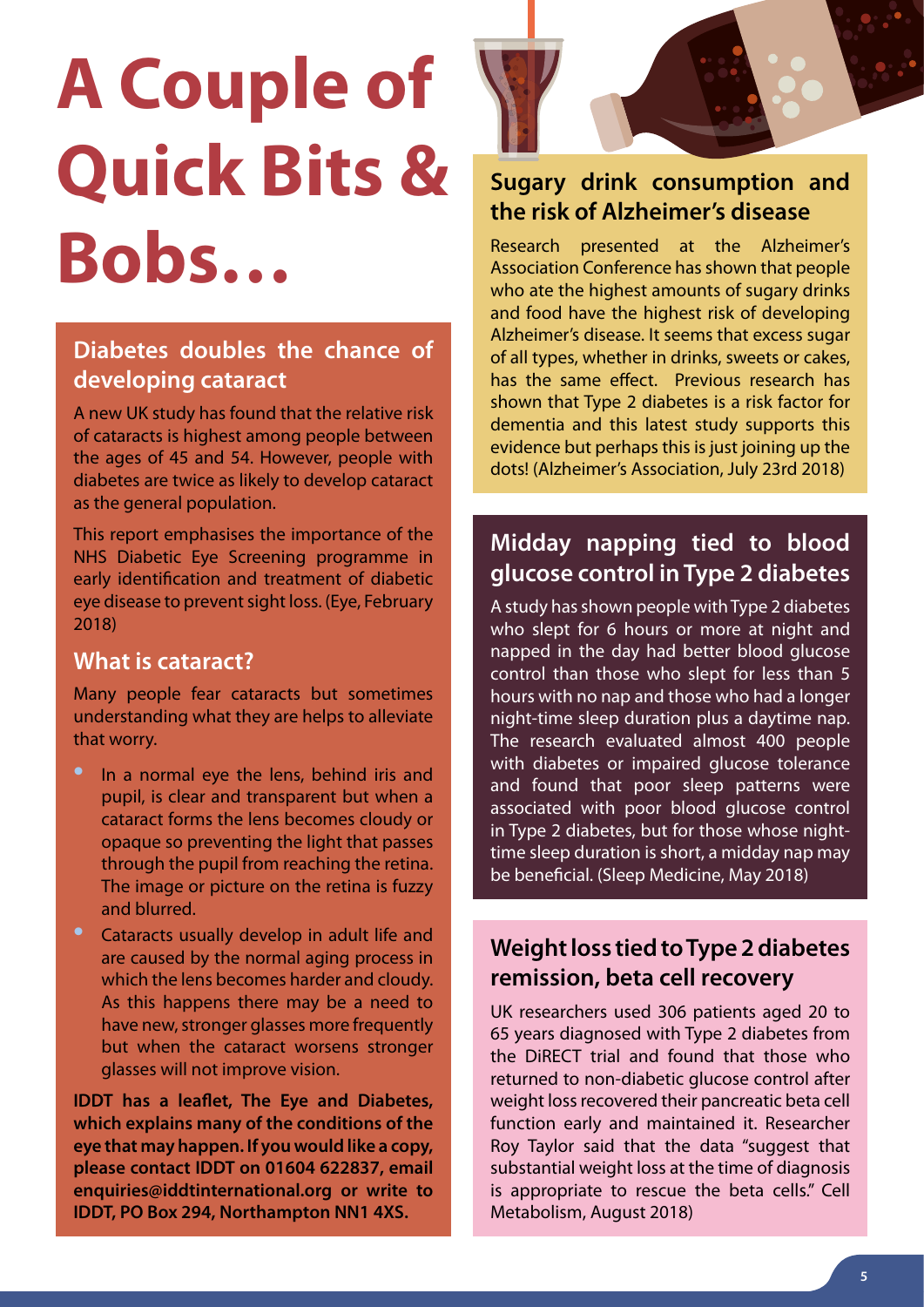# **A Couple of Quick Bits & Bobs…**

#### **Diabetes doubles the chance of developing cataract**

A new UK study has found that the relative risk of cataracts is highest among people between the ages of 45 and 54. However, people with diabetes are twice as likely to develop cataract as the general population.

This report emphasises the importance of the NHS Diabetic Eye Screening programme in early identification and treatment of diabetic eye disease to prevent sight loss. (Eye, February 2018)

#### **What is cataract?**

Many people fear cataracts but sometimes understanding what they are helps to alleviate that worry.

In a normal eye the lens, behind iris and pupil, is clear and transparent but when a cataract forms the lens becomes cloudy or opaque so preventing the light that passes through the pupil from reaching the retina. The image or picture on the retina is fuzzy and blurred.

• Cataracts usually develop in adult life and are caused by the normal aging process in which the lens becomes harder and cloudy. As this happens there may be a need to have new, stronger glasses more frequently but when the cataract worsens stronger glasses will not improve vision.

**IDDT has a leaflet, The Eye and Diabetes, which explains many of the conditions of the eye that may happen. If you would like a copy, please contact IDDT on 01604 622837, email enquiries@iddtinternational.org or write to IDDT, PO Box 294, Northampton NN1 4XS.**



#### **Sugary drink consumption and the risk of Alzheimer's disease**

Research presented at the Alzheimer's Association Conference has shown that people who ate the highest amounts of sugary drinks and food have the highest risk of developing Alzheimer's disease. It seems that excess sugar of all types, whether in drinks, sweets or cakes, has the same effect. Previous research has shown that Type 2 diabetes is a risk factor for dementia and this latest study supports this evidence but perhaps this is just joining up the dots! (Alzheimer's Association, July 23rd 2018)

#### **Midday napping tied to blood glucose control in Type 2 diabetes**

A study has shown people with Type 2 diabetes who slept for 6 hours or more at night and napped in the day had better blood glucose control than those who slept for less than 5 hours with no nap and those who had a longer night-time sleep duration plus a daytime nap. The research evaluated almost 400 people with diabetes or impaired glucose tolerance and found that poor sleep patterns were associated with poor blood glucose control in Type 2 diabetes, but for those whose nighttime sleep duration is short, a midday nap may be beneficial. (Sleep Medicine, May 2018)

#### **Weight loss tied to Type 2 diabetes remission, beta cell recovery**

UK researchers used 306 patients aged 20 to 65 years diagnosed with Type 2 diabetes from the DiRECT trial and found that those who returned to non-diabetic glucose control after weight loss recovered their pancreatic beta cell function early and maintained it. Researcher Roy Taylor said that the data "suggest that substantial weight loss at the time of diagnosis is appropriate to rescue the beta cells." Cell Metabolism, August 2018)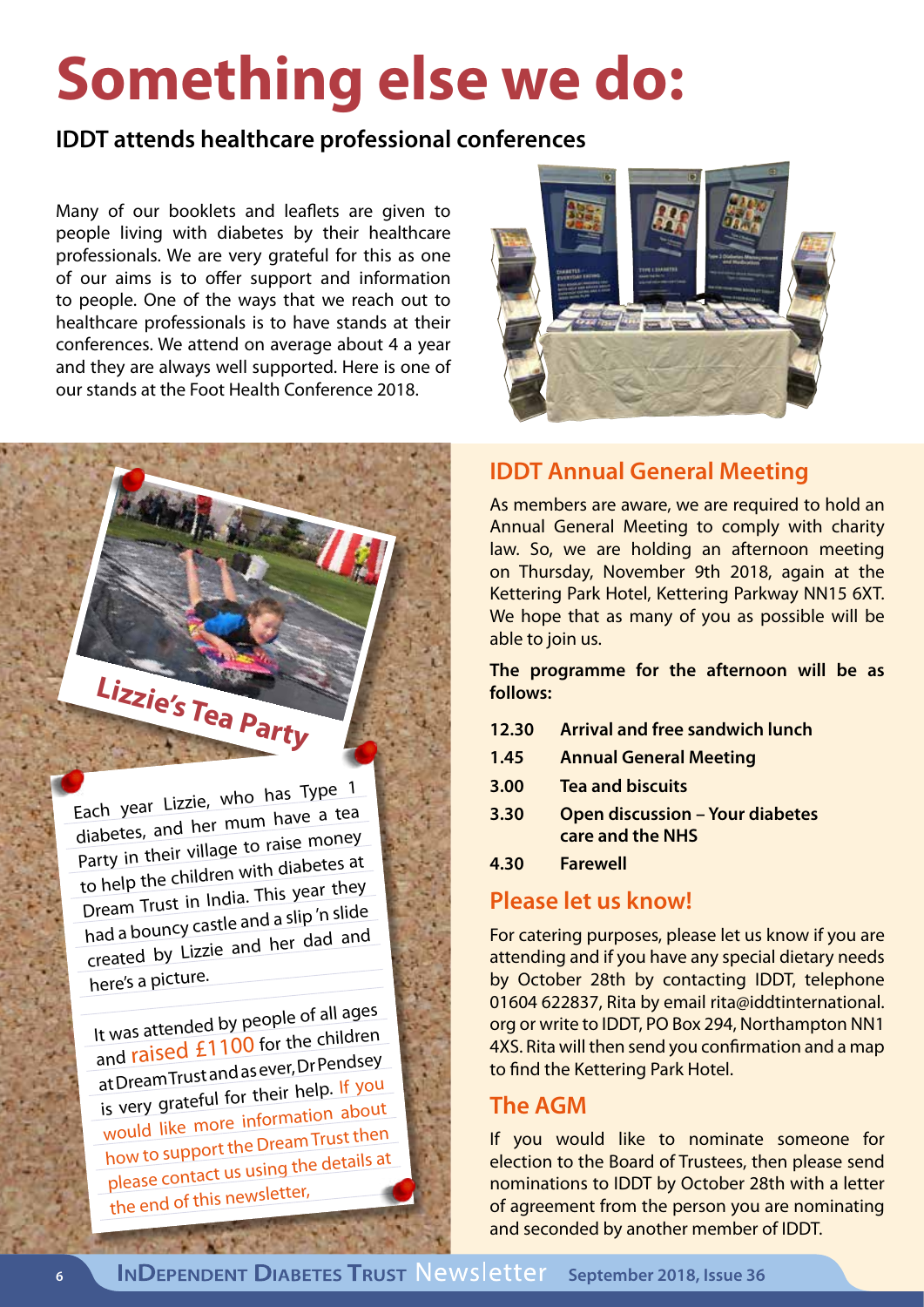# **Something else we do:**

#### **IDDT attends healthcare professional conferences**

Many of our booklets and leaflets are given to people living with diabetes by their healthcare professionals. We are very grateful for this as one of our aims is to offer support and information to people. One of the ways that we reach out to healthcare professionals is to have stands at their conferences. We attend on average about 4 a year and they are always well supported. Here is one of our stands at the Foot Health Conference 2018.



#### **IDDT Annual General Meeting**

As members are aware, we are required to hold an Annual General Meeting to comply with charity law. So, we are holding an afternoon meeting on Thursday, November 9th 2018, again at the Kettering Park Hotel, Kettering Parkway NN15 6XT. We hope that as many of you as possible will be able to join us.

**The programme for the afternoon will be as follows:** 

- **12.30 Arrival and free sandwich lunch**
- **1.45 Annual General Meeting**
- **3.00 Tea and biscuits**
- **3.30 Open discussion Your diabetes care and the NHS**
- **4.30 Farewell**

#### **Please let us know!**

For catering purposes, please let us know if you are attending and if you have any special dietary needs by October 28th by contacting IDDT, telephone 01604 622837, Rita by email rita@iddtinternational. org or write to IDDT, PO Box 294, Northampton NN1 4XS. Rita will then send you confirmation and a map to find the Kettering Park Hotel.

#### **The AGM**

If you would like to nominate someone for election to the Board of Trustees, then please send nominations to IDDT by October 28th with a letter of agreement from the person you are nominating and seconded by another member of IDDT.

Each year Lizzie, who has Type <sup>1</sup> diabetes, and her mum have a tea Party in their village to raise money to help the children with diabetes a<sup>t</sup> Dream Trust in India. This year they had a bouncy castle and a slip 'n slide created by Lizzie and her dad an<sup>d</sup> here's a picture.

**Lizzie's Tea Party**

It was attended by people of all ages and raised £1100 for the children at Dream Trust and as ever, Dr Pendsey is very grateful for their help. If you would like more information about how to support the Dream Trust then please contact us using the details at the end of this newsletter,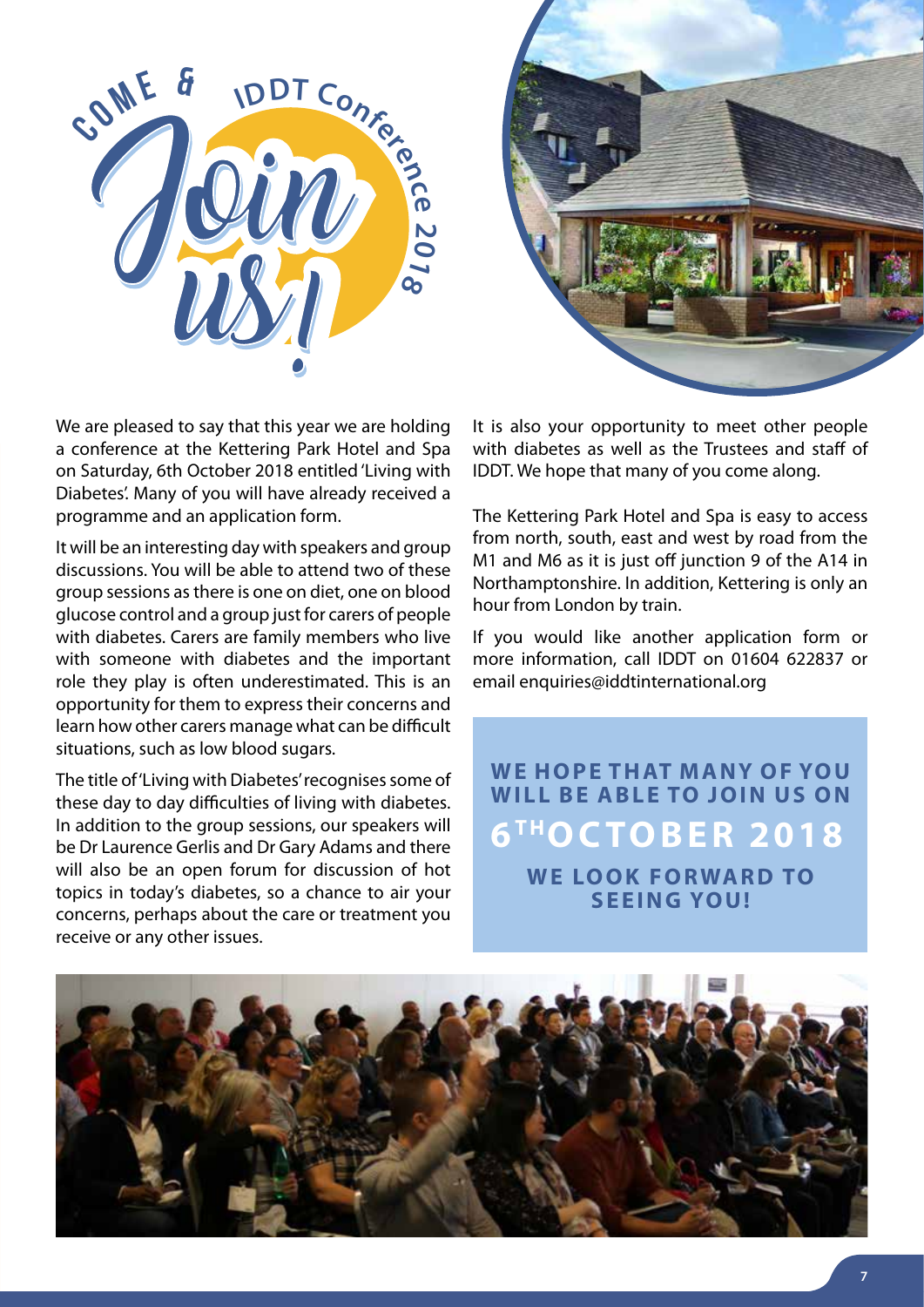



We are pleased to say that this year we are holding a conference at the Kettering Park Hotel and Spa on Saturday, 6th October 2018 entitled 'Living with Diabetes'. Many of you will have already received a programme and an application form.

It will be an interesting day with speakers and group discussions. You will be able to attend two of these group sessions as there is one on diet, one on blood glucose control and a group just for carers of people with diabetes. Carers are family members who live with someone with diabetes and the important role they play is often underestimated. This is an opportunity for them to express their concerns and learn how other carers manage what can be difficult situations, such as low blood sugars.

The title of 'Living with Diabetes' recognises some of these day to day difficulties of living with diabetes. In addition to the group sessions, our speakers will be Dr Laurence Gerlis and Dr Gary Adams and there will also be an open forum for discussion of hot topics in today's diabetes, so a chance to air your concerns, perhaps about the care or treatment you receive or any other issues.

It is also your opportunity to meet other people with diabetes as well as the Trustees and staff of IDDT. We hope that many of you come along.

The Kettering Park Hotel and Spa is easy to access from north, south, east and west by road from the M1 and M6 as it is just off junction 9 of the A14 in Northamptonshire. In addition, Kettering is only an hour from London by train.

If you would like another application form or more information, call IDDT on 01604 622837 or email enquiries@iddtinternational.org

WE HOPE THAT MANY OF YOU **WILL BE ABLE TO JOIN US ON 6T HOCTOBER 2018 WE LOOK FORWARD TO SEEING YOU!**